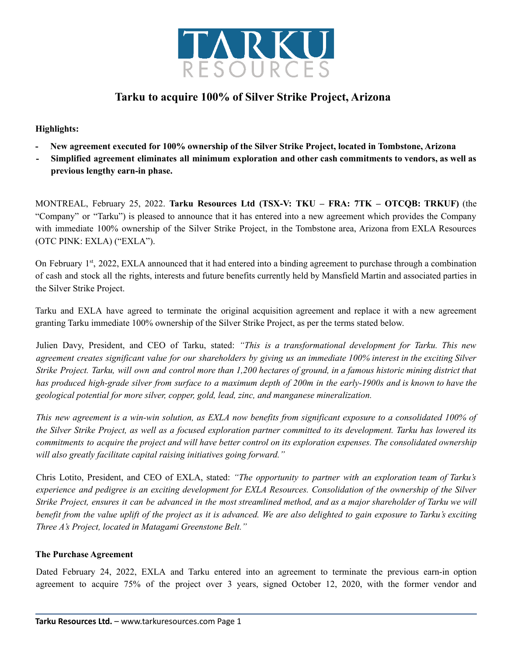

# **Tarku to acquire 100% of Silver Strike Project, Arizona**

# **Highlights:**

- **- New agreement executed for 100% ownership of the Silver Strike Project, located in Tombstone, Arizona**
- **- Simplified agreement eliminates all minimum exploration and other cash commitments to vendors, as well as previous lengthy earn-in phase.**

MONTREAL, February 25, 2022. **Tarku Resources Ltd (TSX-V: TKU – FRA: 7TK – OTCQB: TRKUF)** (the "Company" or "Tarku") is pleased to announce that it has entered into a new agreement which provides the Company with immediate 100% ownership of the Silver Strike Project, in the Tombstone area, Arizona from EXLA Resources (OTC PINK: EXLA) ("EXLA").

On February 1<sup>st</sup>, 2022, EXLA announced that it had entered into a binding agreement to purchase through a combination of cash and stock all the rights, interests and future benefits currently held by Mansfield Martin and associated parties in the Silver Strike Project.

Tarku and EXLA have agreed to terminate the original acquisition agreement and replace it with a new agreement granting Tarku immediate 100% ownership of the Silver Strike Project, as per the terms stated below.

Julien Davy, President, and CEO of Tarku, stated: *"This is a transformational development for Tarku. This new* agreement creates significant value for our shareholders by giving us an immediate 100% interest in the exciting Silver Strike Project. Tarku, will own and control more than 1,200 hectares of ground, in a famous historic mining district that has produced high-grade silver from surface to a maximum depth of 200m in the early-1900s and is known to have the *geological potential for more silver, copper, gold, lead, zinc, and manganese mineralization.*

This new agreement is a win-win solution, as EXLA now benefits from significant exposure to a consolidated 100% of the Silver Strike Project, as well as a focused exploration partner committed to its development. Tarku has lowered its commitments to acquire the project and will have better control on its exploration expenses. The consolidated ownership *will also greatly facilitate capital raising initiatives going forward."*

Chris Lotito, President, and CEO of EXLA, stated: *"The opportunity to partner with an exploration team of Tarku's* experience and pedigree is an exciting development for EXLA Resources. Consolidation of the ownership of the Silver Strike Project, ensures it can be advanced in the most streamlined method, and as a major shareholder of Tarku we will benefit from the value uplift of the project as it is advanced. We are also delighted to gain exposure to Tarku's exciting *Three A's Project, located in Matagami Greenstone Belt."*

## **The Purchase Agreement**

Dated February 24, 2022, EXLA and Tarku entered into an agreement to terminate the previous earn-in option agreement to acquire 75% of the project over 3 years, signed October 12, 2020, with the former vendor and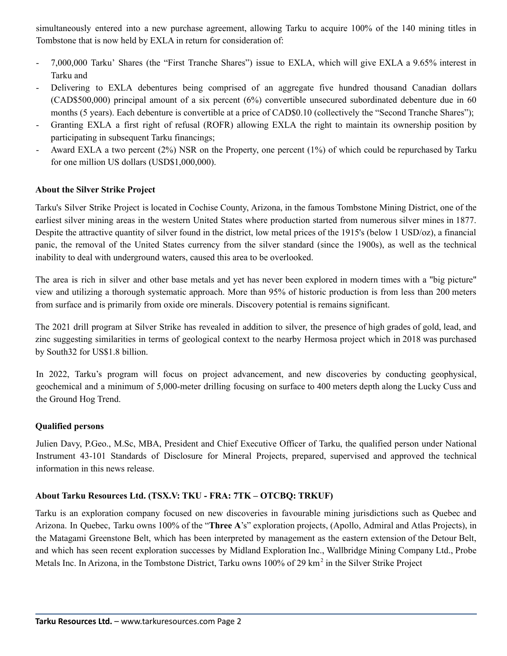simultaneously entered into a new purchase agreement, allowing Tarku to acquire 100% of the 140 mining titles in Tombstone that is now held by EXLA in return for consideration of:

- 7,000,000 Tarku' Shares (the "First Tranche Shares") issue to EXLA, which will give EXLA a 9.65% interest in Tarku and
- Delivering to EXLA debentures being comprised of an aggregate five hundred thousand Canadian dollars (CAD\$500,000) principal amount of a six percent (6%) convertible unsecured subordinated debenture due in 60 months (5 years). Each debenture is convertible at a price of CAD\$0.10 (collectively the "Second Tranche Shares");
- Granting EXLA a first right of refusal (ROFR) allowing EXLA the right to maintain its ownership position by participating in subsequent Tarku financings;
- Award EXLA a two percent (2%) NSR on the Property, one percent (1%) of which could be repurchased by Tarku for one million US dollars (USD\$1,000,000).

# **About the Silver Strike Project**

Tarku's Silver Strike Project is located in Cochise County, Arizona, in the famous Tombstone Mining District, one of the earliest silver mining areas in the western United States where production started from numerous silver mines in 1877. Despite the attractive quantity of silver found in the district, low metal prices of the 1915's (below 1 USD/oz), a financial panic, the removal of the United States currency from the silver standard (since the 1900s), as well as the technical inability to deal with underground waters, caused this area to be overlooked.

The area is rich in silver and other base metals and yet has never been explored in modern times with a "big picture" view and utilizing a thorough systematic approach. More than 95% of historic production is from less than 200 meters from surface and is primarily from oxide ore minerals. Discovery potential is remains significant.

The 2021 drill program at Silver Strike has revealed in addition to silver, the presence of high grades of gold, lead, and zinc suggesting similarities in terms of geological context to the nearby Hermosa project which in 2018 was purchased by South32 for US\$1.8 billion.

In 2022, Tarku's program will focus on project advancement, and new discoveries by conducting geophysical, geochemical and a minimum of 5,000-meter drilling focusing on surface to 400 meters depth along the Lucky Cuss and the Ground Hog Trend.

## **Qualified persons**

Julien Davy, P.Geo., M.Sc, MBA, President and Chief Executive Officer of Tarku, the qualified person under National Instrument 43-101 Standards of Disclosure for Mineral Projects, prepared, supervised and approved the technical information in this news release.

## **About Tarku Resources Ltd. (TSX.V: TKU - FRA: 7TK – OTCBQ: TRKUF)**

Tarku is an exploration company focused on new discoveries in favourable mining jurisdictions such as Quebec and Arizona. In Quebec, Tarku owns 100% of the "**Three A**'s" exploration projects, (Apollo, Admiral and Atlas Projects), in the Matagami Greenstone Belt, which has been interpreted by management as the eastern extension of the Detour Belt, and which has seen recent exploration successes by Midland Exploration Inc., Wallbridge Mining Company Ltd., Probe Metals Inc. In Arizona, in the Tombstone District, Tarku owns 100% of 29 km<sup>2</sup> in the Silver Strike Project